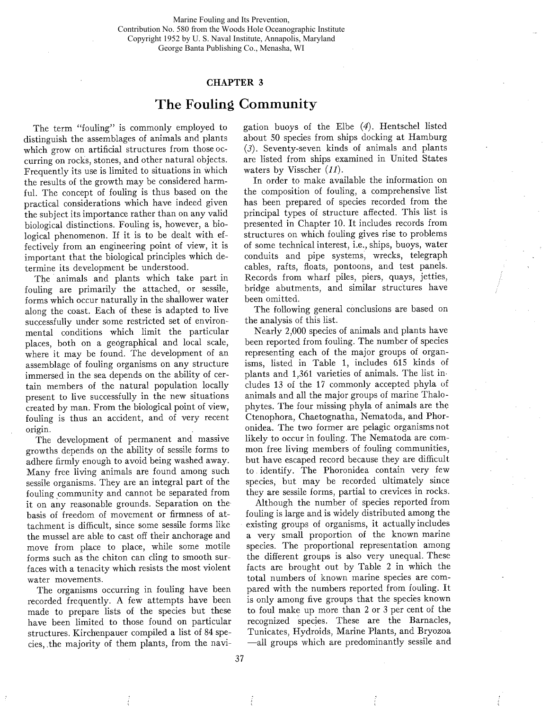Marine Fouling and Its Prevention, Contribution No. 580 from the Woods Hole Oceanographic Institute Copyright 1952 by U. S. Naval Institute, Annapolis, Maryland George Banta Publishing Co., Menasha, WI

## CHAPTER 3

## The Fouling Community

The term "fouling" is commonly employed to distinguish the assemblages of animals and plants which grow on artificial structures from those occurring on rocks, stones, and other natural objects. Frequently its use is limited to situations in which the results of the growth may be considered harmfuL. The concept of fouling is thus based on the practical considerations which have indeed given the subject its importance rather than on any valid biological distinctions. Fouling is, however, a biological phenomenon. If it is to be dealt with effectively from an engineering point of view, it is important that the biological principles which determine its development be understood.

The animals and plants which take part in fouling are primarily the attached, or sessile, forms which occur naturally in the shallower water along the coast. Each of these is adapted to live successfully under some restricted set of environmental conditions which limit the particular places, both on a geographical and local scale, where it may be found. The development of an assemblage of fouling organisms on any structure immersed in the sea depends on the ability of certain members of the natural population locally present to live successfully in the new situations created by man. From the biological point of view, fouling is thus an accident, and of very recent origin.

The development of permanent and massive growths depends on the ability of sessile forms to adhere firmly enough to avoid being washed away. Many free living animals are found among such sessile organisms. They are an integral part of the fouling community and cannot be separated from it on any reasonable grounds. Separation on the basis of freedom of movement or firmness of attachment is diffcult, since some sessile forms like the mussel are able to cast off their anchorage and move from place to place, while some motile forms such as the chiton can cling to smooth surfaces with a tenacity which resists the most violent water movements.

The organisms occurring in fouling have been recorded frequently. A few attempts have been made to prepare lists of the species but these have been limited to those found on particular structures. Kirchenpauer compiled a list of 84 species, ,the majority of them plants, from the navi-

gation buoys of the Elbe (4). Hentschel listed about 50 species from ships docking at Hamburg (3). Seventy-seven kinds of animals and plants are listed from ships examined in United States waters by Visscher  $(11)$ .

In order to make available the information on the composition of fouling, a comprehensive list has been prepared of species recorded from the principal types of structure affected. This list is presented in Chapter 10. It includes records from structures on which fouling gives rise to problems of some technical interest, i.e., ships, buoys, water conduits and pipe systems, wrecks, telegraph cables, rafts, floats, pontoons, and test panels. Records from wharf piles, piers, quays, jetties, bridge abutments, and similar structures have been omitted.

The following general conclusions are based on the analysis of this list.

Nearly 2,000 species of animals and plants have been reported from fouling. The number of species representing each of the major groups of organisms, listed in Table 1, includes 615 kinds of plants and 1,361 varieties of animals. The list includes 13 of the 17 commonly accepted phyla of animals and all the major groups of marine Thalophytes. The four missing phyla of animals are the Ctenophora, Chaetognatha, Nematoda, and Phoronidea. The two former are pelagic organisms not likely to occur in fouling. The Nematoda are common free living members of fouling communities, but have escaped record because they are diffcult to identify. The Phoronidea contain very few species, but may be recorded ultimately since they are sessile forms, partial to crevices in rocks.

Although the number of species reported from fouling is large and is widely distributed among the existing groups of organisms, it actually includes a very small proportion of the known marine species. The proportional representation among the different groups is also very unequal. These facts are brought out by Table 2 in which the total numbers of known marine species are compared with the numbers reported from fouling. It is only among five groups that the species known to foul make up more than 2 or 3 per cent of the recognized species. These are the Barnacles, Tunicates, Hydroids, Marine Plants, and Bryozoa -all groups which are predominantly sessile and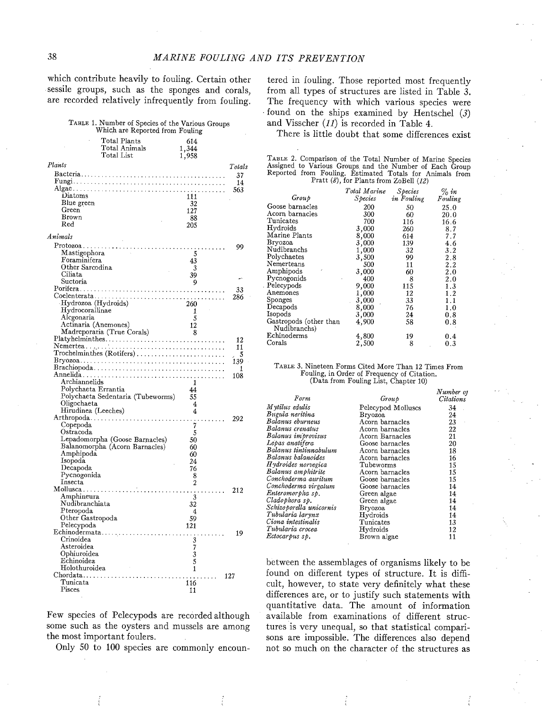which contribute heavily to fouling. Certain other sessile groups, such as the sponges and corals, are recorded relatively infrequently from fouling.

TABLE 1. Number of Species of the Various Groups Which are Reported from Fouling

|                        | Total Plants<br>Total Animals<br>Total List                                                           | 614<br>1,344<br>1,958 |        |
|------------------------|-------------------------------------------------------------------------------------------------------|-----------------------|--------|
| Plants                 |                                                                                                       |                       | Totals |
|                        |                                                                                                       |                       | 37     |
|                        |                                                                                                       |                       | 14     |
|                        |                                                                                                       |                       | 563    |
| Diatoms                |                                                                                                       | 111                   |        |
| Blue green             |                                                                                                       | -32                   |        |
| Green                  |                                                                                                       | 127                   |        |
| Brown                  |                                                                                                       | 88                    |        |
| Red                    |                                                                                                       | 205                   |        |
| Animals                |                                                                                                       |                       |        |
|                        |                                                                                                       |                       | 99     |
| Mastigophora           |                                                                                                       | 5                     |        |
| Foraminifera           |                                                                                                       | 43                    |        |
| Other Sarcodina        |                                                                                                       | 3                     |        |
| Ciliata                |                                                                                                       | 39                    |        |
| Suctoria               |                                                                                                       | 9                     |        |
|                        |                                                                                                       |                       | 33     |
|                        |                                                                                                       |                       | 286    |
| Hydrozoa (Hydroids)    |                                                                                                       | 260                   |        |
| Hydrocorallinae        |                                                                                                       | 1                     |        |
| Alcgonaria             |                                                                                                       | 5                     |        |
| Actinaria (Anemones)   |                                                                                                       | 12                    |        |
|                        | Madreporaria (True Corals)                                                                            | 8                     |        |
|                        | $Platy$ helminthes                                                                                    |                       | 12     |
|                        |                                                                                                       |                       | 11     |
|                        | $\operatorname{Trochelminthes}\left(\operatorname{Rotifiers}\right),\dots,\dots,\dots,\dots,\dots\,.$ |                       | - 5    |
|                        |                                                                                                       |                       | 139    |
|                        |                                                                                                       |                       | 1      |
|                        |                                                                                                       |                       | 108    |
| Archiannelids          |                                                                                                       | 1                     |        |
| Polychaeta Errantia    |                                                                                                       | 44                    |        |
|                        | Polychaeta Sedentaria (Tubeworms)                                                                     | 55                    |        |
| Oligochaeta            |                                                                                                       | $\overline{4}$        |        |
| Hirudinea (Leeches)    |                                                                                                       | 4                     |        |
|                        |                                                                                                       |                       | 292    |
| Copepoda               |                                                                                                       | $\overline{7}$        |        |
| Ostracoda              |                                                                                                       | 5                     |        |
|                        | Lepadomorpha (Goose Barnacles)                                                                        | 50                    |        |
|                        | Balanomorpha (Acorn Barnacles)                                                                        | 60                    |        |
| Amphipoda              |                                                                                                       | 60                    |        |
| Isopoda                |                                                                                                       | 24                    |        |
| Decapoda               |                                                                                                       | 76                    |        |
| Pycnogonida<br>Insecta |                                                                                                       | 8<br>$\overline{2}$   |        |
|                        |                                                                                                       |                       |        |
| Amphineura             |                                                                                                       |                       | 212    |
| Nudibranchiata         |                                                                                                       | 3                     |        |
| Pteropoda              |                                                                                                       | 32<br>$\overline{4}$  |        |
| Other Gastropoda       |                                                                                                       | 59                    |        |
| Pelecypoda             |                                                                                                       | 121                   |        |
|                        | Echinodermata                                                                                         |                       | 19     |
| Crinoidea              |                                                                                                       |                       |        |
| Asteroidea             |                                                                                                       | 3                     |        |
| Ophiuroidea            |                                                                                                       | $\frac{7}{3}$         |        |
| Echinoidea             |                                                                                                       | 5                     |        |
| Holothuroidea          |                                                                                                       | 1                     |        |
|                        | Chordata                                                                                              |                       | 127    |
| Tunicata               |                                                                                                       | 116                   |        |
| Pisces                 |                                                                                                       | 11                    |        |
|                        |                                                                                                       |                       |        |

Few species of Pelecypods are recorded although some such as the oysters and mussels are among the most important foulers.

Only 50 to 100 species are commonly encoun-

tered in fouling. Those reported most frequently from all types of structures are listed in Table 3. The frequency with which various species were found on the ships examined by Hentschel  $(3)$ and Visscher (11) is recorded in Table 4.

There is little doubt that some differences exist

TABLE 2. Comparison of the Total Number of Marine Species Assigned to Various Groups and the Number of Each Group Reported from Fouling. Estimated Totals for Animals from Pratt  $(8)$ , for Plants from ZoBell  $(12)$ 

|                                        | Total Marine | <i>Species</i> | % in    |
|----------------------------------------|--------------|----------------|---------|
| Group                                  | Species      | in Fouling     | Fouling |
| Goose barnacles                        | 200          | 50             | 25.0    |
| Acorn barnacles                        | 300          | 60             | 20.0    |
| Tunicates                              | 700          | 116            | 16.6    |
| Hydroids                               | 3,000        | 260            | 8.7     |
| Marine Plants                          | 8,000        | 614            | 7.7     |
| <b>Bryozoa</b>                         | 3,000        | 139            | 4.6     |
| Nudibranchs                            | 1,000        | 32             | 3.2     |
| Polychaetes                            | 3,500        | 99             | 2.8     |
| Nemerteans                             | 500          | 11             | 2.2     |
| Amphipods                              | 3,000        | 60             | 2.0     |
| Pycnogonids                            | 400          | 8              | 2.0     |
| Pelecypods                             | 9,000        | 115            | 1.3     |
| Anemones                               | 1,000        | 12             | 1.2     |
| Sponges                                | 3,000        | 33             | 1.1     |
| Decapods                               | 8,000        | 76             | 1.0     |
| Isopods                                | 3,000        | 24             | 0.8     |
| Gastropods (other than<br>Nudibranchs) | 4,900        | 58             | 0.8     |
| Echinoderms                            | 4,800        | 19             | 0.4     |
| Corals                                 | 2,500        | 8              | 0.3     |

| TABLE 3. Nineteen Forms Cited More Than 12 Times From |  |
|-------------------------------------------------------|--|
| Fouling, in Order of Frequency of Citation.           |  |
| (Data from Fouling List, Chapter 10)                  |  |

|                         |                    | Number of |
|-------------------------|--------------------|-----------|
| Form                    | Group              | Citations |
| Mytilus edulis          | Pelecypod Molluscs | 34        |
| Bugula neritina         | <b>Bryozoa</b>     | 24        |
| Balanus eburneus        | Acorn barnacles    | 23        |
| Balanus crenatus        | Acorn barnacles    | 22        |
| Balanus improvisus      | Acorn Barnacles    | 21        |
| Lepas anatifera         | Goose barnacles    | 20        |
| Balanus tintinnabulum   | Acorn barnacles    | 18        |
| Balanus balanoides      | Acorn barnacles    | 16        |
| Hydroides norvegica     | Tubeworms          | 15        |
| Balanus amphitrite      | Acorn barnacles    | 15        |
| Conchoderma auritum     | Goose barnacles    | 15        |
| Conchoderma virgatum    | Goose barnacles    | 14        |
| Enteromorpha sp.        | Green algae        | 14        |
| Cladophora sp.          | Green algae        | 14        |
| Schizoporella unicornis | Bryozoa            | 14        |
| Tubularia larynx        | Hydroids           | 14        |
| Ciona intestinalis      | Tunicates          | 13        |
| Tubularia crocea        | Hydroids           | 12        |
| Ectocarpus sp.          | Brown algae        | 11        |

between the assemblages of organisms likely to be found on different types of structure. It is diffcult, however, to state very definitely what these differences are, or to justify such statements with quantitative data. The amount of information available from examinations of different structures is very unequal, so that statistical comparisons are impossible. The differences also depend not so much on the character of the structures as

Î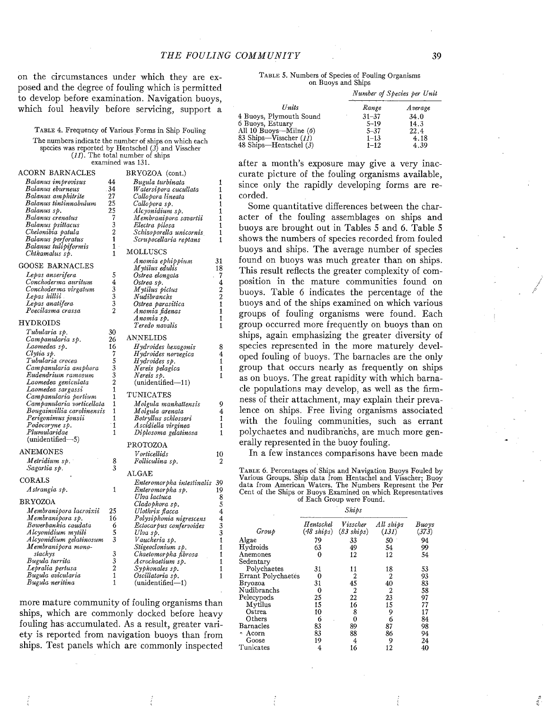on the circumstances under which they are exposed and the degree of fouling which is permitted to develop before examination. Navigation buoys, which foul heavily before servicing, support a

TABLE 4. Frequency of Various Forms in Ship Fouling The numbers indicate the number of ships on which each species was reported by Hentschel  $(3)$  and Visscher  $(11)$ . The total number of ships examined was 131.

ACORN BARNACLES BRYOZOA (cont.) ert Balanus improvisus de quanto 44<br>Balanus eburneus de 134 Bugula turbinata Balanus eburneus 34 Watersipora cucullata Balanus amphitrite 27 Callopora lineata<br>Callopora sp. Balanus tintinnabiilum 25 Balanus sp. Alcyonidium sp. Balanus crenatus 7 Membranipora<sup>"</sup> savartii 1<br>Electra pilosa 1<br>Schizoporella unicornis 1 Chelonibia patula Schizoporella unicornis 1<br>Scrupocellaria reptans 1 Balanus perforatus 1 Scrupocellaria reptans Balanus tulipiformis 1 **MOLLUSCS**  $Chthamalus$  sp. Anomia ephippium 31<br>M ytilus edulis 18<br>Ostrea elongata 7<br>Ostrea elongata 4<br>M ytilus pictus 2<br>Nudibranchs 2 GOOSE BARNACLES Lepas anserifera 5<br>Conchoderma auritum 4 Conchoderma auritum  $4$ <br>Conchoderma virgatum  $3$ Conclioderma virgatmii 3 Lepas Iiillii 3 Ostrea parasitica 1 Lepas anatifera 3 Poecilasma crassa 2 Anomia fidenas 1<br>Anomia sp. 11<br>Teredo navalis 11 HYDROIDS<br>
Tubularia sp. 30<br>
Campanularia sp. 26 Teredo navalis 1 ANNELIDS Campanularia sp. 26<br>Laomedea sp. 26 Hydroides hexagonis 8 Laomedea sp.  $\begin{array}{ccc} 16 \ \text{Clytia sp.} & 16 \ \text{Tubularia crocea} & 5 \ \text{Cambanularia ambhora} & 3 \end{array}$ H ydroides norvegica 4 Campanularia amphora 3 Nereis pelagica 1<br>Nereis sp. 1 1 Eudendrium ramosum 3<br>Laomedea geniculata - 2 Laomedea geniculata  $(unidentified-11)$ Laomedea sargassi 1 TUNICATES Campanularia portium 1 Campanularia vorticellata 1 Molgula manhattensis 9 M olgula arenata 4 Bougainvillia carolinensis 1 Perigonimus jonsii 1 Botryllus schlosseri 1 Podocoryne sp.<br>Plumularidae 1 Ascidiella virginea 1 Plumularidae Diplosoma gelatinosa 1  $(unidentified-5)$ PROTOZOA ANEMONES V orticellids 10<br>Folliculina sp. 2 Metridium sp. 8 Sagartia sp. 3 ALGAE CORALS Enteromorpha intestinalis 39<br>Enteromorpha sp. 19 Astrangia sp.  $\mathbf{1}$ Enteromorpha sp. 19<br>Ulva lactuca 18 Ulva lactuca<br>Cladophora sp. 5 BRYOZOA Cladophora sp. 5 Ulotlirix flacca 4 llf embranipora lacroixii 2S Membranipora sp. Polysiphonia nigrescens Bowerbankia caudata 6 Ectocar pus confervoides 3<br>1 Ulva sp. 3<br>1 Vaucheria sp. 1 Alcyonidium mytili 5 Alcyonidium gelatinosum M embranipora mono- stachys 3 Stigeoclonium sp Chaetomorpha fibrosa Acrochaetium sp.<br>Syphonales sp.<br>Oscillatoria sp. Bugula titrrita 3 Lepralia pertusa 2 Bugula avicularia 11<br>Bugula neritina 11 Bugula neritina 1  $(unidentified-1)$ 

more mature community of fouling organisms than ships, which are commonly docked before heavy fouling has accumulated. As a result, greater variety is reported from navigation buoys than from ships. Test panels which are commonly inspected

TABLE 5. Numbers of Species of Fouling Organisms on Buoys and Ships

| Range     | <i>Average</i> |
|-----------|----------------|
| $31 - 37$ | 34.0           |
| $5 - 19$  | 14.3           |
| $5 - 37$  | 22.4           |
| $1 - 13$  | 4.18           |
| $1 - 12$  | 4.39           |
|           |                |

after a month's exposure may give a very inaccurate picture of the fouling organisms available, since only the rapidly developing forms are recorded.

Some quantitative differences between the character of the fouling assemblages on ships and buoys are brought out in Tables 5 and 6. Table 5 shows the numbers of species recorded from fouled buoys and ships. The average number of species found on buoys was much greater than on ships. This result reflects the greater complexity of composition in the mature communities found on buoys. Table 6 indicates the percentage of the buoys and of the ships examined on which various groups of fouling organisms were found. Each group occurred more frequently on buoys than on ships, again emphasizing the greater diversity of species represented in the more maturely developed fouling of buoys. The barnacles are the only group that occurs nearly as frequently on ships as on buoys. The great rapidity with which barnacle populations may develop, as well as the firmness of their attachment, may explain their prevalence on ships. Free living organisms associated with the fouling communities, such as errant polychaetes and nudibranchs, are much more generally represented in the buoy fouling.

In a few instances comparisons have been made

TABLE 6. Percentages of Ships and Navigation Buoys Fouled by Various Groups. Ship data from Hentschel and Visscher; Buoy data from American Waters. The Numbers Represent the Per Cent of the Ships or Buoys Examined on which Representatives of Each Group were Found.

Ships

i<br>S

| Group              | Hentschel<br>$(48 \; ships)$ | Visscher<br>$(83 \; ships)$ | All ships<br>(131) | Buoys<br>(373) |
|--------------------|------------------------------|-----------------------------|--------------------|----------------|
| Algae              | 79                           | 33                          | 50                 | 94             |
| Hydroids           | 63                           | 49                          | 54                 | 99             |
| Anemones           | 0                            | 12                          | 12                 | 54             |
| Sedentary          |                              |                             |                    |                |
| Polychaetes        | 31                           | 11                          | 18                 | 53             |
| Errant Polychaetes | 0                            | 2                           | 2                  | 93             |
| Bryozoa            | 31                           | 45                          | 40                 | 83             |
| Nudibranchs        | 0                            | 2                           | 2                  | 58             |
| Pelecypods         | 25                           | 22                          | 23                 | 97             |
| Mytilus            | 15                           | 16                          | 15                 | 77             |
| Ostrea             | 10                           | 8                           | 9                  |                |
| Others             | 6                            | 0                           | 6                  | 84             |
| Barnacles          | 83                           | 89                          | 87                 | 98             |
| Acorn<br>÷.        | 83                           | 88                          | 86                 | 94             |
| Goose              | 19                           | 4                           | 9                  | 24             |
| Tunicates          | 4                            | 16                          | 12                 | 40             |

Number of Species per Unit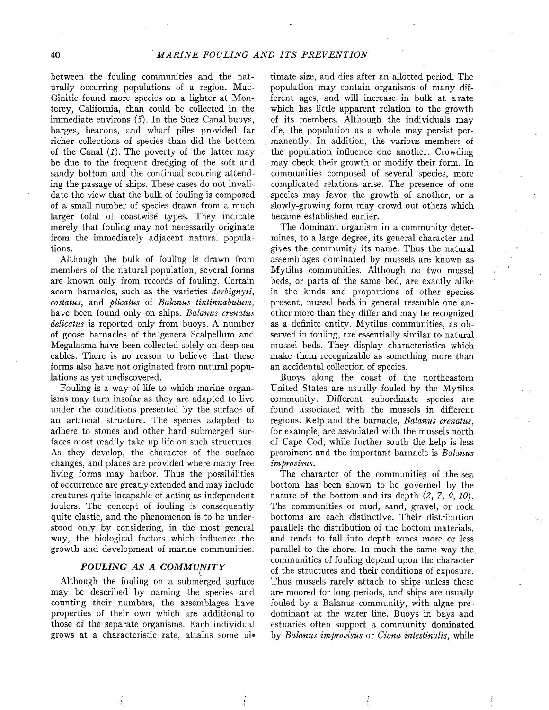between the fouling communities and the naturally occurring populations of a region. Mac-Ginitie found more species on a lighter at Monterey, California, than could be collected in the immediate environs (5). In the Suez Canal buoys, barges, beacons, and wharf piles provided far richer collections of species than did the bottom of the Canal  $(1)$ . The poverty of the latter may be due to the frequent dredging of the soft and sandy bottom and the continual scouring attending the passage of ships. These cases do not invalidate the view that the bulk of fouling is composed of a small number of species drawn from a much larger total of coastwise types. They indicate merely that fouling may not necessarily originate from the immediately adjacent natural populations.

Although the bulk of fouling is drawn from members of the natural population, several forms are known only from records of fouling. Certain acorn barnacles, such as the varieties *dorbignyii*, costatus, and plicatus of Balanus tintinnabulum, have been found only on ships. Balanus crenatus delicatus is reported only from buoys. A number of goose barnacles of the' genera Scalpellum and Megalasma have been collected solely on deep-sea cables. There is no reason to believe that these forms also have not originated from natural populations as yet undiscovered.

Fouling is a way of life to which marine organisms may turn insofar as they are adapted to live under the conditions presented by the surface of an artificial structure. The species adapted to adhere to stones and other hard submerged surfaces most readily take up life on such structures. As they develop, the character of the surface changes, and places are provided where many free living forms may harbor. Thus the possibilities of occurrence are greatly extended and may include creatures quite incapable of acting as independent foulers. The concept of fouling is consequently quite elastic, and the phenomenon is to be understood only by considering, in the most general way, the biological factors which influence the growth and development of marine communities.

## FOULING AS A COMMUNITY

Although the fouling on a submerged surface may be described by naming the species and counting their numbers, the assemblages have properties of their own which are additional to those of the separate organisms. Each individual grows at a characteristic rate, attains some ultimate size, and dies after an allotted period. The population may contain organisms of many different ages, and will increase in bulk at a rate which has little apparent relation to the growth of its members. Although the individuals may die, the population as a whole may persist permanently. In addition, the various members of the population influence one another. Crowding may check their growth or modify their form. In communities composed of several species, more complicated relations arise. The presence of one species may favor the growth of another, or a slowly-growing form may crowd out others which became established earlier.

The dominant organism in a community determines, to a large degree, its general character and gives the community its name. Thus the natural assemblages dominated by mussels are known as Mytilus communities. Although no two mussel beds, or parts of the same bed, are exactly alike in the kinds and proportions of other species present, mussel beds in general resemble one another more than they differ and may be recognized as a definite entity. Mytilus communities, as observed in fouling, are essentially similar to natural mussel beds. They display characteristics which make them recognizable as something more than an accidental collection of species.

Buoys along the coast of the northeastern United States are usually fouled by the Mytilus community. Different subordinate species are found associated with the mussels in different regions. Kelp and the barnacle, Balanus crenatus, for example, are associated with the mussels north of Cape Cod, while further south the kelp is less prominent and the important barnacle is Balanus improvisus.

The character of the communities of the sea bottom has been shown to be governed by the nature of the bottom and its depth  $(2, 7, 9, 10)$ . The communities of mud, sand, gravel, or rock bottoms are each distinctive. Their distribution parallels the distribution of the bottom materials, and tends to fall into depth zones more or less parallel to the shore. In much the same way the. communities of fouling depend upon the character of the structures and their conditions of exposure. Thus mussels rarely attach to ships unless these are moored for long periods, and ships are usually fouled by a Balanus community, with algae predominant at the water line. Buoys in bays and estuaries often support a community dominated by Balanus improvisus or Ciona intestinalis, while